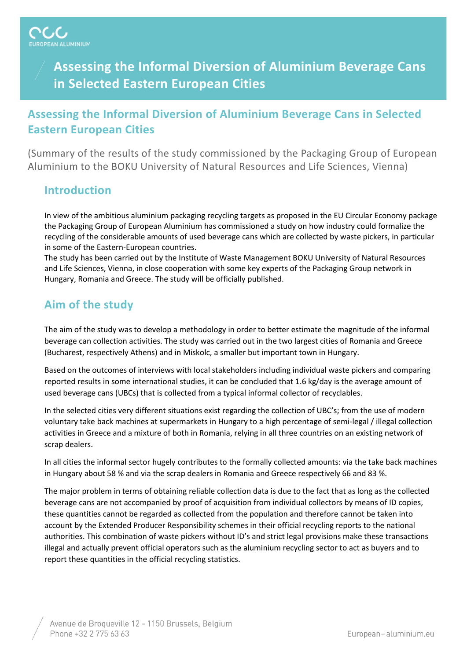**Assessing the Informal Diversion of Aluminium Beverage Cans in Selected Eastern European Cities**

## **Assessing the Informal Diversion of Aluminium Beverage Cans in Selected Eastern European Cities**

(Summary of the results of the study commissioned by the Packaging Group of European Aluminium to the BOKU University of Natural Resources and Life Sciences, Vienna)

#### **Introduction**

In view of the ambitious aluminium packaging recycling targets as proposed in the EU Circular Economy package the Packaging Group of European Aluminium has commissioned a study on how industry could formalize the recycling of the considerable amounts of used beverage cans which are collected by waste pickers, in particular in some of the Eastern-European countries.

The study has been carried out by the Institute of Waste Management BOKU University of Natural Resources and Life Sciences, Vienna, in close cooperation with some key experts of the Packaging Group network in Hungary, Romania and Greece. The study will be officially published.

### **Aim of the study**

The aim of the study was to develop a methodology in order to better estimate the magnitude of the informal beverage can collection activities. The study was carried out in the two largest cities of Romania and Greece (Bucharest, respectively Athens) and in Miskolc, a smaller but important town in Hungary.

Based on the outcomes of interviews with local stakeholders including individual waste pickers and comparing reported results in some international studies, it can be concluded that 1.6 kg/day is the average amount of used beverage cans (UBCs) that is collected from a typical informal collector of recyclables.

In the selected cities very different situations exist regarding the collection of UBC's; from the use of modern voluntary take back machines at supermarkets in Hungary to a high percentage of semi-legal / illegal collection activities in Greece and a mixture of both in Romania, relying in all three countries on an existing network of scrap dealers.

In all cities the informal sector hugely contributes to the formally collected amounts: via the take back machines in Hungary about 58 % and via the scrap dealers in Romania and Greece respectively 66 and 83 %.

The major problem in terms of obtaining reliable collection data is due to the fact that as long as the collected beverage cans are not accompanied by proof of acquisition from individual collectors by means of ID copies, these quantities cannot be regarded as collected from the population and therefore cannot be taken into account by the Extended Producer Responsibility schemes in their official recycling reports to the national authorities. This combination of waste pickers without ID's and strict legal provisions make these transactions illegal and actually prevent official operators such as the aluminium recycling sector to act as buyers and to report these quantities in the official recycling statistics.